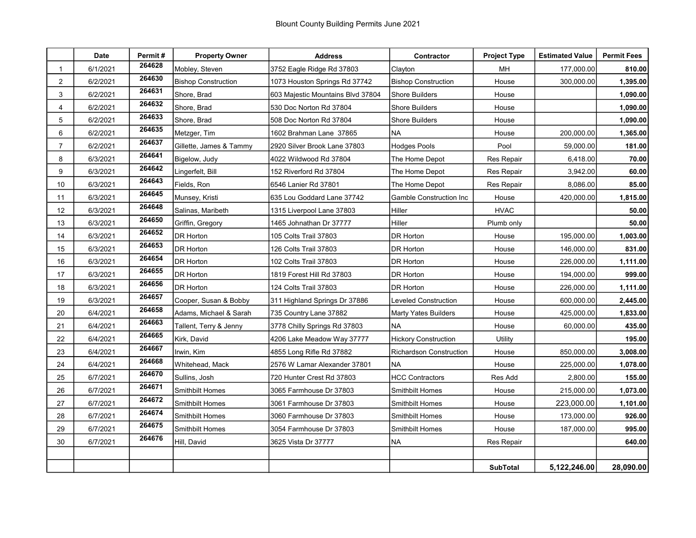|                  | <b>Date</b> | Permit# | <b>Property Owner</b>      | <b>Address</b>                    | Contractor                     | <b>Project Type</b> | <b>Estimated Value</b> | <b>Permit Fees</b> |
|------------------|-------------|---------|----------------------------|-----------------------------------|--------------------------------|---------------------|------------------------|--------------------|
| $\mathbf 1$      | 6/1/2021    | 264628  | Mobley, Steven             | 3752 Eagle Ridge Rd 37803         | Clayton                        | MН                  | 177,000.00             | 810.00             |
| $\boldsymbol{2}$ | 6/2/2021    | 264630  | <b>Bishop Construction</b> | 1073 Houston Springs Rd 37742     | <b>Bishop Construction</b>     | House               | 300,000.00             | 1,395.00           |
| 3                | 6/2/2021    | 264631  | Shore, Brad                | 603 Majestic Mountains Blvd 37804 | <b>Shore Builders</b>          | House               |                        | 1,090.00           |
| 4                | 6/2/2021    | 264632  | Shore, Brad                | 530 Doc Norton Rd 37804           | <b>Shore Builders</b>          | House               |                        | 1,090.00           |
| 5                | 6/2/2021    | 264633  | Shore, Brad                | 508 Doc Norton Rd 37804           | <b>Shore Builders</b>          | House               |                        | 1,090.00           |
| 6                | 6/2/2021    | 264635  | Metzger, Tim               | 1602 Brahman Lane 37865           | NA                             | House               | 200,000.00             | 1,365.00           |
| $\overline{7}$   | 6/2/2021    | 264637  | Gillette, James & Tammy    | 2920 Silver Brook Lane 37803      | <b>Hodges Pools</b>            | Pool                | 59,000.00              | 181.00             |
| 8                | 6/3/2021    | 264641  | Bigelow, Judy              | 4022 Wildwood Rd 37804            | The Home Depot                 | <b>Res Repair</b>   | 6,418.00               | 70.00              |
| 9                | 6/3/2021    | 264642  | Lingerfelt, Bill           | 152 Riverford Rd 37804            | The Home Depot                 | Res Repair          | 3,942.00               | 60.00              |
| $10$             | 6/3/2021    | 264643  | Fields, Ron                | 6546 Lanier Rd 37801              | The Home Depot                 | <b>Res Repair</b>   | 8,086.00               | 85.00              |
| 11               | 6/3/2021    | 264645  | Munsey, Kristi             | 635 Lou Goddard Lane 37742        | <b>Gamble Construction Inc</b> | House               | 420,000.00             | 1,815.00           |
| 12               | 6/3/2021    | 264648  | Salinas, Maribeth          | 1315 Liverpool Lane 37803         | Hiller                         | <b>HVAC</b>         |                        | 50.00              |
| 13               | 6/3/2021    | 264650  | Griffin, Gregory           | 1465 Johnathan Dr 37777           | Hiller                         | Plumb only          |                        | 50.00              |
| 14               | 6/3/2021    | 264652  | <b>DR Horton</b>           | 105 Colts Trail 37803             | DR Horton                      | House               | 195,000.00             | 1,003.00           |
| 15               | 6/3/2021    | 264653  | DR Horton                  | 126 Colts Trail 37803             | <b>DR Horton</b>               | House               | 146,000.00             | 831.00             |
| 16               | 6/3/2021    | 264654  | <b>DR Horton</b>           | 102 Colts Trail 37803             | DR Horton                      | House               | 226,000.00             | 1,111.00           |
| 17               | 6/3/2021    | 264655  | DR Horton                  | 1819 Forest Hill Rd 37803         | DR Horton                      | House               | 194,000.00             | 999.00             |
| 18               | 6/3/2021    | 264656  | <b>DR Horton</b>           | 124 Colts Trail 37803             | DR Horton                      | House               | 226,000.00             | 1,111.00           |
| 19               | 6/3/2021    | 264657  | Cooper, Susan & Bobby      | 311 Highland Springs Dr 37886     | <b>Leveled Construction</b>    | House               | 600,000.00             | 2,445.00           |
| 20               | 6/4/2021    | 264658  | Adams, Michael & Sarah     | 735 Country Lane 37882            | Marty Yates Builders           | House               | 425,000.00             | 1,833.00           |
| 21               | 6/4/2021    | 264663  | Tallent, Terry & Jenny     | 3778 Chilly Springs Rd 37803      | <b>NA</b>                      | House               | 60,000.00              | 435.00             |
| 22               | 6/4/2021    | 264665  | Kirk, David                | 4206 Lake Meadow Way 37777        | <b>Hickory Construction</b>    | Utility             |                        | 195.00             |
| 23               | 6/4/2021    | 264667  | Irwin, Kim                 | 4855 Long Rifle Rd 37882          | <b>Richardson Construction</b> | House               | 850,000.00             | 3,008.00           |
| 24               | 6/4/2021    | 264668  | Whitehead, Mack            | 2576 W Lamar Alexander 37801      | <b>NA</b>                      | House               | 225,000.00             | 1,078.00           |
| 25               | 6/7/2021    | 264670  | Sullins, Josh              | 720 Hunter Crest Rd 37803         | <b>HCC Contractors</b>         | Res Add             | 2,800.00               | 155.00             |
| 26               | 6/7/2021    | 264671  | Smithbilt Homes            | 3065 Farmhouse Dr 37803           | Smithbilt Homes                | House               | 215,000.00             | 1,073.00           |
| 27               | 6/7/2021    | 264672  | Smithbilt Homes            | 3061 Farmhouse Dr 37803           | <b>Smithbilt Homes</b>         | House               | 223,000.00             | 1,101.00           |
| 28               | 6/7/2021    | 264674  | Smithbilt Homes            | 3060 Farmhouse Dr 37803           | <b>Smithbilt Homes</b>         | House               | 173,000.00             | 926.00             |
| 29               | 6/7/2021    | 264675  | <b>Smithbilt Homes</b>     | 3054 Farmhouse Dr 37803           | Smithbilt Homes                | House               | 187,000.00             | 995.00             |
| 30               | 6/7/2021    | 264676  | Hill, David                | 3625 Vista Dr 37777               | <b>NA</b>                      | Res Repair          |                        | 640.00             |
|                  |             |         |                            |                                   |                                |                     |                        |                    |
|                  |             |         |                            |                                   |                                | <b>SubTotal</b>     | 5,122,246.00           | 28,090.00          |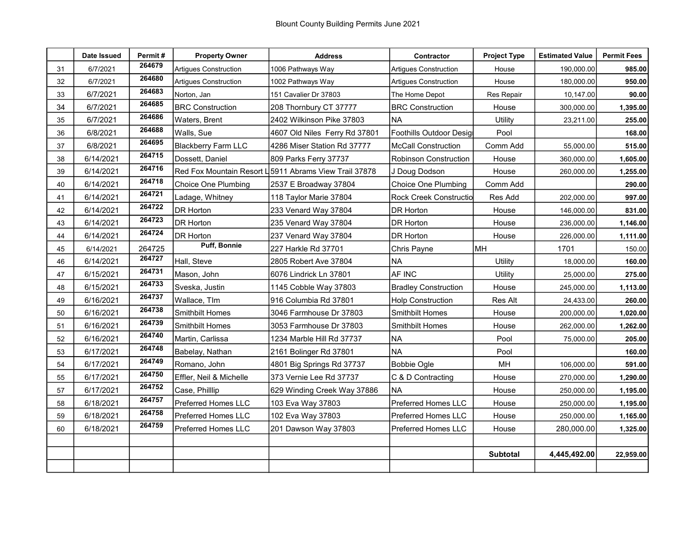|    | Date Issued | Permit# | <b>Property Owner</b>        | <b>Address</b>                                         | Contractor                    | <b>Project Type</b> | <b>Estimated Value</b> | <b>Permit Fees</b> |
|----|-------------|---------|------------------------------|--------------------------------------------------------|-------------------------------|---------------------|------------------------|--------------------|
| 31 | 6/7/2021    | 264679  | <b>Artigues Construction</b> | 1006 Pathways Way                                      | Artigues Construction         | House               | 190,000.00             | 985.00             |
| 32 | 6/7/2021    | 264680  | <b>Artiques Construction</b> | 1002 Pathways Way                                      | <b>Artiques Construction</b>  | House               | 180,000.00             | 950.00             |
| 33 | 6/7/2021    | 264683  | Norton, Jan                  | 151 Cavalier Dr 37803                                  | The Home Depot                | <b>Res Repair</b>   | 10,147.00              | 90.00              |
| 34 | 6/7/2021    | 264685  | <b>BRC Construction</b>      | 208 Thornbury CT 37777                                 | <b>BRC Construction</b>       | House               | 300,000.00             | 1,395.00           |
| 35 | 6/7/2021    | 264686  | Waters, Brent                | 2402 Wilkinson Pike 37803                              | <b>NA</b>                     | Utility             | 23,211.00              | 255.00             |
| 36 | 6/8/2021    | 264688  | Walls, Sue                   | 4607 Old Niles Ferry Rd 37801                          | Foothills Outdoor Desig       | Pool                |                        | 168.00             |
| 37 | 6/8/2021    | 264695  | <b>Blackberry Farm LLC</b>   | 4286 Miser Station Rd 37777                            | <b>McCall Construction</b>    | Comm Add            | 55,000.00              | 515.00             |
| 38 | 6/14/2021   | 264715  | Dossett, Daniel              | 809 Parks Ferry 37737                                  | <b>Robinson Construction</b>  | House               | 360,000.00             | 1,605.00           |
| 39 | 6/14/2021   | 264716  |                              | Red Fox Mountain Resort L 5911 Abrams View Trail 37878 | J Doug Dodson                 | House               | 260,000.00             | 1,255.00           |
| 40 | 6/14/2021   | 264718  | Choice One Plumbing          | 2537 E Broadway 37804                                  | Choice One Plumbing           | Comm Add            |                        | 290.00             |
| 41 | 6/14/2021   | 264721  | Ladage, Whitney              | 118 Taylor Marie 37804                                 | <b>Rock Creek Constructio</b> | Res Add             | 202,000.00             | 997.00             |
| 42 | 6/14/2021   | 264722  | <b>DR Horton</b>             | 233 Venard Way 37804                                   | DR Horton                     | House               | 146,000.00             | 831.00             |
| 43 | 6/14/2021   | 264723  | <b>DR Horton</b>             | 235 Venard Way 37804                                   | DR Horton                     | House               | 236,000.00             | 1,146.00           |
| 44 | 6/14/2021   | 264724  | <b>DR Horton</b>             | 237 Venard Way 37804                                   | DR Horton                     | House               | 226,000.00             | 1,111.00           |
| 45 | 6/14/2021   | 264725  | Puff, Bonnie                 | 227 Harkle Rd 37701                                    | Chris Payne                   | MH                  | 1701                   | 150.00             |
| 46 | 6/14/2021   | 264727  | Hall, Steve                  | 2805 Robert Ave 37804                                  | <b>NA</b>                     | Utility             | 18,000.00              | 160.00             |
| 47 | 6/15/2021   | 264731  | Mason, John                  | 6076 Lindrick Ln 37801                                 | AF INC                        | Utility             | 25,000.00              | 275.00             |
| 48 | 6/15/2021   | 264733  | Sveska, Justin               | 1145 Cobble Way 37803                                  | <b>Bradley Construction</b>   | House               | 245,000.00             | 1,113.00           |
| 49 | 6/16/2021   | 264737  | Wallace, TIm                 | 916 Columbia Rd 37801                                  | <b>Holp Construction</b>      | Res Alt             | 24,433.00              | 260.00             |
| 50 | 6/16/2021   | 264738  | <b>Smithbilt Homes</b>       | 3046 Farmhouse Dr 37803                                | Smithbilt Homes               | House               | 200,000.00             | 1,020.00           |
| 51 | 6/16/2021   | 264739  | Smithbilt Homes              | 3053 Farmhouse Dr 37803                                | Smithbilt Homes               | House               | 262,000.00             | 1,262.00           |
| 52 | 6/16/2021   | 264740  | Martin, Carlissa             | 1234 Marble Hill Rd 37737                              | <b>NA</b>                     | Pool                | 75,000.00              | 205.00             |
| 53 | 6/17/2021   | 264748  | Babelay, Nathan              | 2161 Bolinger Rd 37801                                 | <b>NA</b>                     | Pool                |                        | 160.00             |
| 54 | 6/17/2021   | 264749  | Romano, John                 | 4801 Big Springs Rd 37737                              | Bobbie Ogle                   | MH                  | 106,000.00             | 591.00             |
| 55 | 6/17/2021   | 264750  | Effler, Neil & Michelle      | 373 Vernie Lee Rd 37737                                | C & D Contracting             | House               | 270,000.00             | 1,290.00           |
| 57 | 6/17/2021   | 264752  | Case, Phillip                | 629 Winding Creek Way 37886                            | <b>NA</b>                     | House               | 250,000.00             | 1,195.00           |
| 58 | 6/18/2021   | 264757  | Preferred Homes LLC          | 103 Eva Way 37803                                      | Preferred Homes LLC           | House               | 250,000.00             | 1,195.00           |
| 59 | 6/18/2021   | 264758  | Preferred Homes LLC          | 102 Eva Way 37803                                      | Preferred Homes LLC           | House               | 250,000.00             | 1,165.00           |
| 60 | 6/18/2021   | 264759  | Preferred Homes LLC          | 201 Dawson Way 37803                                   | Preferred Homes LLC           | House               | 280,000.00             | 1,325.00           |
|    |             |         |                              |                                                        |                               |                     |                        |                    |
|    |             |         |                              |                                                        |                               | <b>Subtotal</b>     | 4,445,492.00           | 22,959.00          |
|    |             |         |                              |                                                        |                               |                     |                        |                    |